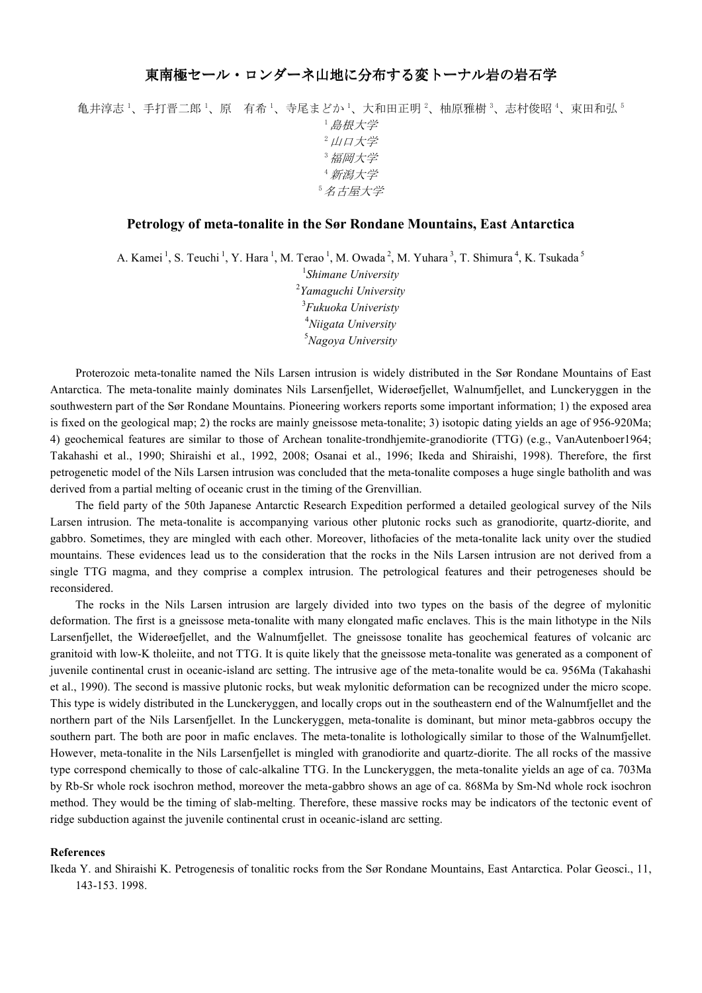## 東南極セール・ロンダーネ山地に分布する変トーナル岩の岩石学

亀井淳志 <sup>1</sup>、手打晋二郎 <sup>1</sup>、原 有希 <sup>1</sup>、寺尾まどか <sup>1</sup>、大和田正明 <sup>2</sup>、柚原雅樹 <sup>3</sup>、志村俊昭 <sup>4</sup>、束田和弘 5 <sup>1</sup>島根大学 2 山口大学 <sup>3</sup>福岡大学 <sup>4</sup>新潟大学 <sup>5</sup>名古屋大学

## **Petrology of meta-tonalite in the Sør Rondane Mountains, East Antarctica**

A. Kamei<sup>1</sup>, S. Teuchi<sup>1</sup>, Y. Hara<sup>1</sup>, M. Terao<sup>1</sup>, M. Owada<sup>2</sup>, M. Yuhara<sup>3</sup>, T. Shimura<sup>4</sup>, K. Tsukada<sup>5</sup>

 *Shimane University Yamaguchi University Fukuoka Univeristy Niigata University Nagoya University*

Proterozoic meta-tonalite named the Nils Larsen intrusion is widely distributed in the Sør Rondane Mountains of East Antarctica. The meta-tonalite mainly dominates Nils Larsenfjellet, Widerøefjellet, Walnumfjellet, and Lunckeryggen in the southwestern part of the Sør Rondane Mountains. Pioneering workers reports some important information; 1) the exposed area is fixed on the geological map; 2) the rocks are mainly gneissose meta-tonalite; 3) isotopic dating yields an age of 956-920Ma; 4) geochemical features are similar to those of Archean tonalite-trondhjemite-granodiorite (TTG) (e.g., VanAutenboer1964; Takahashi et al., 1990; Shiraishi et al., 1992, 2008; Osanai et al., 1996; Ikeda and Shiraishi, 1998). Therefore, the first petrogenetic model of the Nils Larsen intrusion was concluded that the meta-tonalite composes a huge single batholith and was derived from a partial melting of oceanic crust in the timing of the Grenvillian.

The field party of the 50th Japanese Antarctic Research Expedition performed a detailed geological survey of the Nils Larsen intrusion. The meta-tonalite is accompanying various other plutonic rocks such as granodiorite, quartz-diorite, and gabbro. Sometimes, they are mingled with each other. Moreover, lithofacies of the meta-tonalite lack unity over the studied mountains. These evidences lead us to the consideration that the rocks in the Nils Larsen intrusion are not derived from a single TTG magma, and they comprise a complex intrusion. The petrological features and their petrogeneses should be reconsidered.

The rocks in the Nils Larsen intrusion are largely divided into two types on the basis of the degree of mylonitic deformation. The first is a gneissose meta-tonalite with many elongated mafic enclaves. This is the main lithotype in the Nils Larsenfjellet, the Widerøefjellet, and the Walnumfjellet. The gneissose tonalite has geochemical features of volcanic arc granitoid with low-K tholeiite, and not TTG. It is quite likely that the gneissose meta-tonalite was generated as a component of juvenile continental crust in oceanic-island arc setting. The intrusive age of the meta-tonalite would be ca. 956Ma (Takahashi et al., 1990). The second is massive plutonic rocks, but weak mylonitic deformation can be recognized under the micro scope. This type is widely distributed in the Lunckeryggen, and locally crops out in the southeastern end of the Walnumfjellet and the northern part of the Nils Larsenfjellet. In the Lunckeryggen, meta-tonalite is dominant, but minor meta-gabbros occupy the southern part. The both are poor in mafic enclaves. The meta-tonalite is lothologically similar to those of the Walnumfjellet. However, meta-tonalite in the Nils Larsenfjellet is mingled with granodiorite and quartz-diorite. The all rocks of the massive type correspond chemically to those of calc-alkaline TTG. In the Lunckeryggen, the meta-tonalite yields an age of ca. 703Ma by Rb-Sr whole rock isochron method, moreover the meta-gabbro shows an age of ca. 868Ma by Sm-Nd whole rock isochron method. They would be the timing of slab-melting. Therefore, these massive rocks may be indicators of the tectonic event of ridge subduction against the juvenile continental crust in oceanic-island arc setting.

## **References**

Ikeda Y. and Shiraishi K. Petrogenesis of tonalitic rocks from the Sør Rondane Mountains, East Antarctica. Polar Geosci., 11, 143-153. 1998.